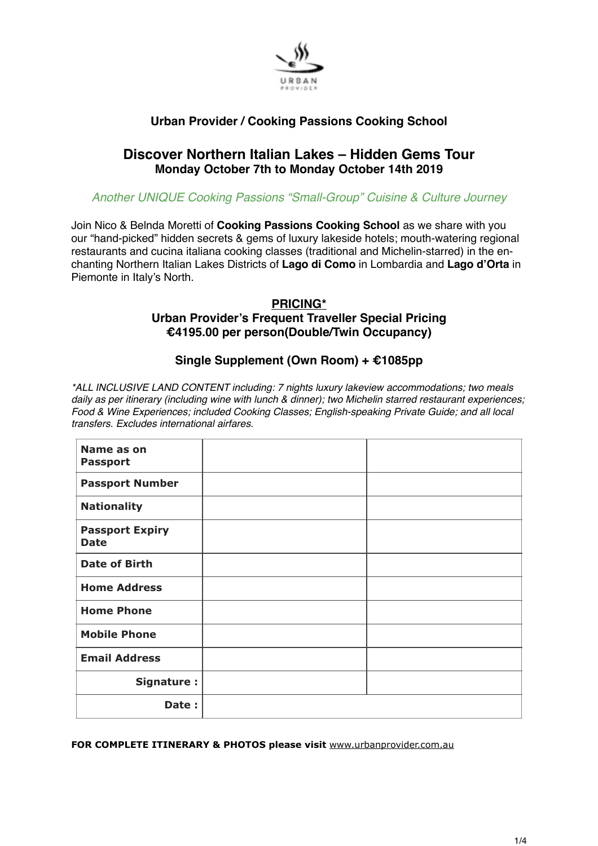

# **Urban Provider / Cooking Passions Cooking School**

# **Discover Northern Italian Lakes – Hidden Gems Tour Monday October 7th to Monday October 14th 2019**

## *Another UNIQUE Cooking Passions "Small-Group" Cuisine & Culture Journey*

Join Nico & Belnda Moretti of **Cooking Passions Cooking School** as we share with you our "hand-picked" hidden secrets & gems of luxury lakeside hotels; mouth-watering regional restaurants and cucina italiana cooking classes (traditional and Michelin-starred) in the enchanting Northern Italian Lakes Districts of **Lago di Como** in Lombardia and **Lago d'Orta** in Piemonte in Italy's North.

# **PRICING\* Urban Provider's Frequent Traveller Special Pricing €4195.00 per person(Double/Twin Occupancy)**

# **Single Supplement (Own Room) + €1085pp**

*\*ALL INCLUSIVE LAND CONTENT including: 7 nights luxury lakeview accommodations; two meals daily as per itinerary (including wine with lunch & dinner); two Michelin starred restaurant experiences; Food & Wine Experiences; included Cooking Classes; English-speaking Private Guide; and all local transfers. Excludes international airfares.*

| Name as on<br><b>Passport</b>         |  |
|---------------------------------------|--|
| <b>Passport Number</b>                |  |
| <b>Nationality</b>                    |  |
| <b>Passport Expiry</b><br><b>Date</b> |  |
| <b>Date of Birth</b>                  |  |
| <b>Home Address</b>                   |  |
| <b>Home Phone</b>                     |  |
| <b>Mobile Phone</b>                   |  |
| <b>Email Address</b>                  |  |
| Signature :                           |  |
| Date:                                 |  |

**FOR COMPLETE ITINERARY & PHOTOS please visit** [www.urbanprovider.com.au](http://www.urbanprovider.com.au)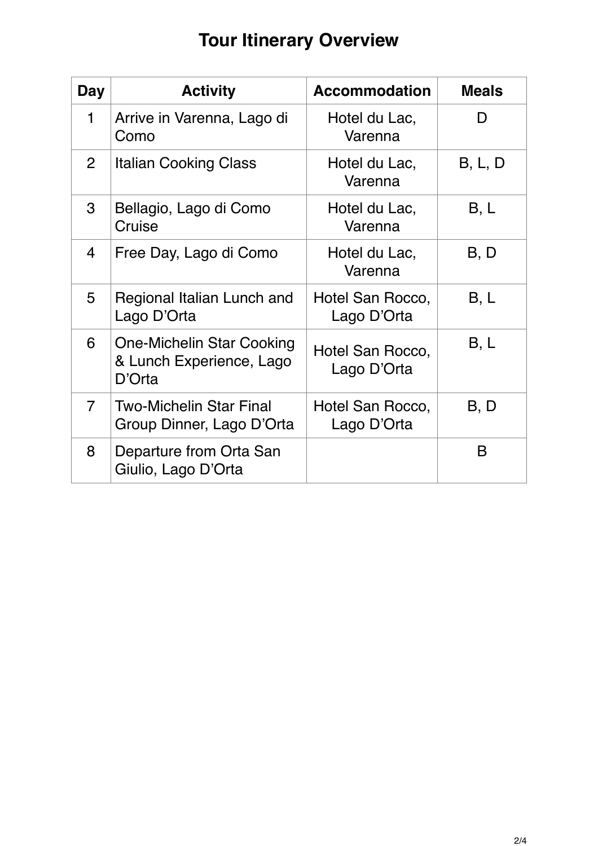# **Tour Itinerary Overview**

| Day            | <b>Activity</b>                                                        | <b>Accommodation</b>            | <b>Meals</b> |
|----------------|------------------------------------------------------------------------|---------------------------------|--------------|
| 1              | Arrive in Varenna, Lago di<br>Como                                     | Hotel du Lac,<br>Varenna        |              |
| $\overline{2}$ | <b>Italian Cooking Class</b>                                           | Hotel du Lac,<br>Varenna        | B, L, D      |
| 3              | Bellagio, Lago di Como<br>Cruise                                       | Hotel du Lac,<br>Varenna        | B, L         |
| $\overline{4}$ | Free Day, Lago di Como                                                 | Hotel du Lac,<br>Varenna        | B, D         |
| 5              | Regional Italian Lunch and<br>Lago D'Orta                              | Hotel San Rocco,<br>Lago D'Orta | B, L         |
| 6              | <b>One-Michelin Star Cooking</b><br>& Lunch Experience, Lago<br>D'Orta | Hotel San Rocco,<br>Lago D'Orta | B, L         |
| $\overline{7}$ | <b>Two-Michelin Star Final</b><br>Group Dinner, Lago D'Orta            | Hotel San Rocco,<br>Lago D'Orta | B, D         |
| 8              | Departure from Orta San<br>Giulio, Lago D'Orta                         |                                 | B            |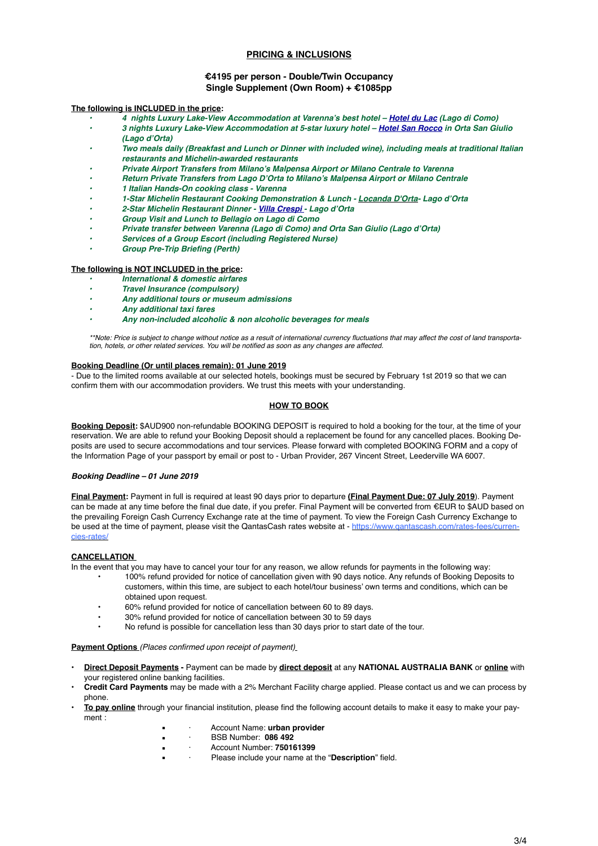## **PRICING & INCLUSIONS**

### **€4195 per person - Double/Twin Occupancy Single Supplement (Own Room) + €1085pp**

#### **The following is INCLUDED in the price:**

- *• 4 nights Luxury Lake-View Accommodation at Varenna's best hotel [Hotel du Lac](http://www.albergodulac.com/index.php?lang=en) (Lago di Como)*
- *• 3 nights Luxury Lake-View Accommodation at 5-star luxury hotel – [Hotel San Rocco](http://www.hotelsanrocco.it) in Orta San Giulio (Lago d'Orta)*
- *• Two meals daily (Breakfast and Lunch or Dinner with included wine), including meals at traditional Italian restaurants and Michelin-awarded restaurants*
- *• Private Airport Transfers from Milano's Malpensa Airport or Milano Centrale to Varenna*
- *• Return Private Transfers from Lago D'Orta to Milano's Malpensa Airport or Milano Centrale*
- *• 1 Italian Hands-On cooking class Varenna*
- *• 1-Star Michelin Restaurant Cooking Demonstration & Lunch - [Locanda D'Orta-](http://www.locandaorta.com/#home) Lago d'Orta*
- *• 2-Star Michelin Restaurant Dinner [Villa Crespi -](http://www.villacrespi.it/en/) Lago d'Orta*
- *• Group Visit and Lunch to Bellagio on Lago di Como*
- *• Private transfer between Varenna (Lago di Como) and Orta San Giulio (Lago d'Orta)*
- *• Services of a Group Escort (including Registered Nurse)*
- *• Group Pre-Trip Briefing (Perth)*

## **The following is NOT INCLUDED in the price:**

- *• International & domestic airfares*
- *• Travel Insurance (compulsory)*
- *• Any additional tours or museum admissions*
- *• Any additional taxi fares*
- *• Any non-included alcoholic & non alcoholic beverages for meals*

*\*\*Note: Price is subject to change without notice as a result of international currency fluctuations that may affect the cost of land transportation, hotels, or other related services. You will be notified as soon as any changes are affected.*

#### **Booking Deadline (Or until places remain): 01 June 2019**

- Due to the limited rooms available at our selected hotels, bookings must be secured by February 1st 2019 so that we can confirm them with our accommodation providers. We trust this meets with your understanding.

## **HOW TO BOOK**

**Booking Deposit:** \$AUD900 non-refundable BOOKING DEPOSIT is required to hold a booking for the tour, at the time of your reservation. We are able to refund your Booking Deposit should a replacement be found for any cancelled places. Booking Deposits are used to secure accommodations and tour services. Please forward with completed BOOKING FORM and a copy of the Information Page of your passport by email or post to - Urban Provider, 267 Vincent Street, Leederville WA 6007.

#### *Booking Deadline – 01 June 2019*

**Final Payment:** Payment in full is required at least 90 days prior to departure **(Final Payment Due: 07 July 2019**). Payment can be made at any time before the final due date, if you prefer. Final Payment will be converted from €EUR to \$AUD based on the prevailing Foreign Cash Currency Exchange rate at the time of payment. To view the Foreign Cash Currency Exchange to be used at the time of payment, please visit the QantasCash rates website at - https://www.gantascash.com/rates-fees/currencies-rates/

#### **CANCELLATION**

In the event that you may have to cancel your tour for any reason, we allow refunds for payments in the following way:

- 100% refund provided for notice of cancellation given with 90 days notice. Any refunds of Booking Deposits to customers, within this time, are subject to each hotel/tour business' own terms and conditions, which can be obtained upon request.
- 60% refund provided for notice of cancellation between 60 to 89 days.
- 30% refund provided for notice of cancellation between 30 to 59 days
- No refund is possible for cancellation less than 30 days prior to start date of the tour.

**Payment Options** *(Places confirmed upon receipt of payment)*

- **Direct Deposit Payments** Payment can be made by **direct deposit** at any **NATIONAL AUSTRALIA BANK** or **online** with your registered online banking facilities.
- **Credit Card Payments** may be made with a 2% Merchant Facility charge applied. Please contact us and we can process by phone.
- **• To pay online** through your financial institution, please find the following account details to make it easy to make your payment :
	- Account Name: urban provider
	- · BSB Number: **086 492**
	- · Account Number: **750161399**
	- Please include your name at the "Description" field.